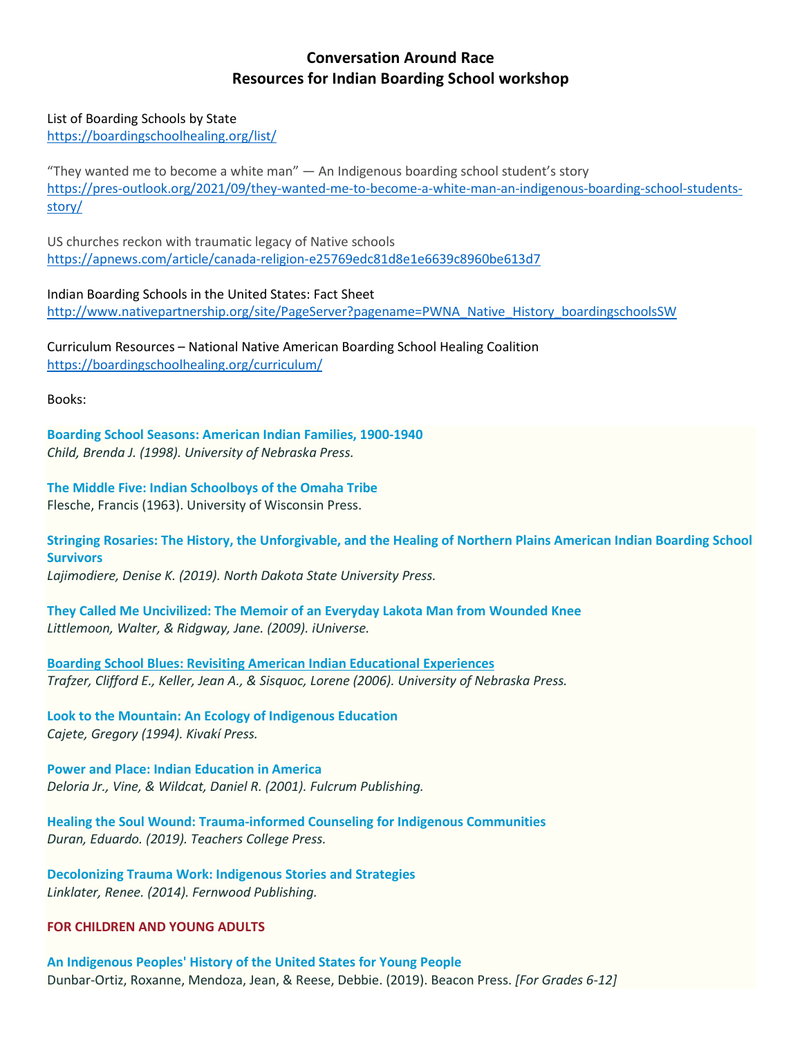## **Conversation Around Race Resources for Indian Boarding School workshop**

## List of Boarding Schools by State

<https://boardingschoolhealing.org/list/>

"They wanted me to become a white man" — An Indigenous boarding school student's story [https://pres-outlook.org/2021/09/they-wanted-me-to-become-a-white-man-an-indigenous-boarding-school-students](https://pres-outlook.org/2021/09/they-wanted-me-to-become-a-white-man-an-indigenous-boarding-school-students-story/)[story/](https://pres-outlook.org/2021/09/they-wanted-me-to-become-a-white-man-an-indigenous-boarding-school-students-story/)

US churches reckon with traumatic legacy of Native schools <https://apnews.com/article/canada-religion-e25769edc81d8e1e6639c8960be613d7>

Indian Boarding Schools in the United States: Fact Sheet [http://www.nativepartnership.org/site/PageServer?pagename=PWNA\\_Native\\_History\\_boardingschoolsSW](http://www.nativepartnership.org/site/PageServer?pagename=PWNA_Native_History_boardingschoolsSW)

Curriculum Resources – National Native American Boarding School Healing Coalition <https://boardingschoolhealing.org/curriculum/>

Books:

**[Boarding School Seasons: American Indian Families, 1900-1940](https://www.nebraskapress.unl.edu/nebraska/9780803214804/)** *Child, Brenda J. (1998). University of Nebraska Press.*

**[The Middle Five: Indian Schoolboys of the Omaha Tribe](http://www.gutenberg.org/files/62094/62094-h/62094-h.htm)** Flesche, Francis (1963). University of Wisconsin Press.

**[Stringing Rosaries: The History, the Unforgivable, and the Healing of Northern Plains American Indian Boarding School](https://www.amazon.com/Stringing-Rosaries-Unforgivable-Contemporary-Indigenous/dp/1946163104)  [Survivors](https://www.amazon.com/Stringing-Rosaries-Unforgivable-Contemporary-Indigenous/dp/1946163104)**

*Lajimodiere, Denise K. (2019). North Dakota State University Press.*

**[They Called Me Uncivilized: The Memoir of an Everyday Lakota Man from Wounded Knee](https://www.iuniverse.com/BookStore/BookDetails/160196-They-Called-Me-Uncivilized)** *Littlemoon, Walter, & Ridgway, Jane. (2009). iUniverse.*

**[Boarding School Blues: Revisiting American Indian Educational Experiences](https://www.nebraskapress.unl.edu/bison-books/9780803294639/)** *Trafzer, Clifford E., Keller, Jean A., & Sisquoc, Lorene (2006). University of Nebraska Press.*

**[Look to the Mountain: An Ecology of Indigenous Education](https://www.jcharltonpublishing.com/product/look-to-the-mountain-an-ecology-of-indigenous-education/)** *Cajete, Gregory (1994). Kivakí Press.*

**[Power and Place: Indian Education in America](https://fulcrum.bookstore.ipgbook.com/power-and-place-products-9781555918590.php)** *Deloria Jr., Vine, & Wildcat, Daniel R. (2001). Fulcrum Publishing.*

**[Healing the Soul Wound: Trauma-informed Counseling for Indigenous Communities](https://www.tcpress.com/healing-the-soul-wound-9780807761397)** *Duran, Eduardo. (2019). Teachers College Press.*

**[Decolonizing Trauma Work: Indigenous Stories and Strategies](https://fernwoodpublishing.ca/book/decolonizing-trauma-work)** *Linklater, Renee. (2014). Fernwood Publishing.*

**FOR CHILDREN AND YOUNG ADULTS**

**[An Indigenous Peoples' History of the United States for Young People](http://www.beacon.org/An-Indigenous-Peoples-History-of-the-United-States-for-Young-People-P1492.aspx)** Dunbar-Ortiz, Roxanne, Mendoza, Jean, & Reese, Debbie. (2019). Beacon Press. *[For Grades 6-12]*